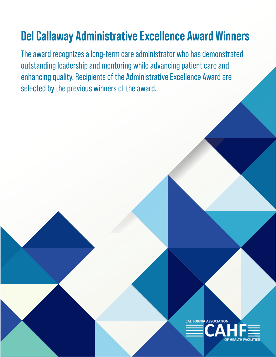# **Del Callaway Administrative Excellence Award Winners**

The award recognizes a long-term care administrator who has demonstrated outstanding leadership and mentoring while advancing patient care and enhancing quality. Recipients of the Administrative Excellence Award are selected by the previous winners of the award.

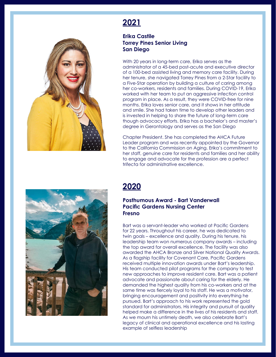

# **2021**

#### **Erika Castile Torrey Pines Senior Living San Diego**

With 20 years in long-term care, Erika serves as the administrator of a 45-bed post-acute and executive director of a 100-bed assisted living and memory care facility. During her tenure, she navigated Torrey Pines from a 2-Star facility to a Five-Star operation by building a culture of caring among her co-workers, residents and families. During COVID-19, Erika worked with her team to put an aggressive infection control program in place. As a result, they were COVID-free for nine months. Erika loves senior care, and it shows in her attitude and smile. She had taken time to develop other leaders and is invested in helping to share the future of long-term care though advocacy efforts. Erika has a bachelor's and master's degree in Gerontology and serves as the San Diego

Chapter President. She has completed the AHCA Future Leader program and was recently appointed by the Governor to the California Commission on Aging. Erika's commitment to her staff, genuine care for residents and families and her ability to engage and advocate for the profession are a perfect trifecta for administrative excellence.



#### **Posthumous Award - Bart Vanderwall Pacific Gardens Nursing Center Fresno**

Bart was a servant-leader who worked at Pacific Gardens for 22 years. Throughout his career, he was dedicated to twin goals – excellence and quality. During his tenure, his leadership team won numerous company awards – including the top award for overall excellence. The facility was also awarded the AHCA Bronze and Silver National Quality Awards. As a flagship facility for Covenant Care, Pacific Gardens received multiple innovation awards under Bart's leadership. His team conducted pilot programs for the company to test new approaches to improve resident care. Bart was a patient advocate and passionate about caring for the elderly. He demanded the highest quality from his co-workers and at the same time was fiercely loyal to his staff. He was a motivator, bringing encouragement and positivity into everything he pursued. Bart's approach to his work represented the gold standard for administrators. His integrity and pursuit of quality helped make a difference in the lives of his residents and staff. As we mourn his untimely death, we also celebrate Bart's legacy of clinical and operational excellence and his lasting example of selfless leadership